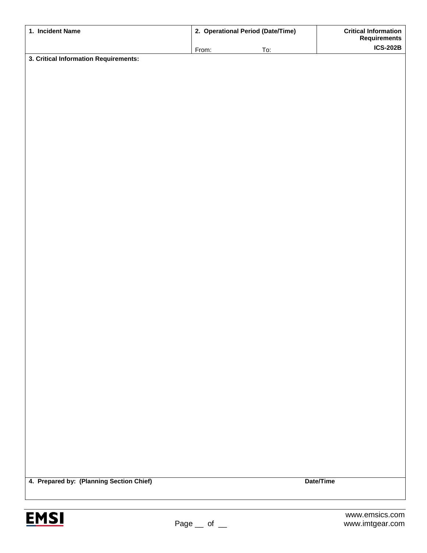| 1. Incident Name                         | 2. Operational Period (Date/Time) |     | <b>Critical Information</b><br><b>Requirements</b> |
|------------------------------------------|-----------------------------------|-----|----------------------------------------------------|
|                                          | From:                             | To: | <b>ICS-202B</b>                                    |
| 3. Critical Information Requirements:    |                                   |     |                                                    |
|                                          |                                   |     |                                                    |
|                                          |                                   |     |                                                    |
|                                          |                                   |     |                                                    |
|                                          |                                   |     |                                                    |
|                                          |                                   |     |                                                    |
|                                          |                                   |     |                                                    |
|                                          |                                   |     |                                                    |
|                                          |                                   |     |                                                    |
|                                          |                                   |     |                                                    |
|                                          |                                   |     |                                                    |
|                                          |                                   |     |                                                    |
|                                          |                                   |     |                                                    |
|                                          |                                   |     |                                                    |
|                                          |                                   |     |                                                    |
|                                          |                                   |     |                                                    |
|                                          |                                   |     |                                                    |
|                                          |                                   |     |                                                    |
|                                          |                                   |     |                                                    |
|                                          |                                   |     |                                                    |
|                                          |                                   |     |                                                    |
|                                          |                                   |     |                                                    |
|                                          |                                   |     |                                                    |
|                                          |                                   |     |                                                    |
|                                          |                                   |     |                                                    |
|                                          |                                   |     |                                                    |
|                                          |                                   |     |                                                    |
|                                          |                                   |     |                                                    |
|                                          |                                   |     |                                                    |
|                                          |                                   |     |                                                    |
|                                          |                                   |     |                                                    |
|                                          |                                   |     |                                                    |
|                                          |                                   |     |                                                    |
|                                          |                                   |     |                                                    |
|                                          |                                   |     |                                                    |
|                                          |                                   |     |                                                    |
|                                          |                                   |     |                                                    |
| 4. Prepared by: (Planning Section Chief) |                                   |     | Date/Time                                          |
|                                          |                                   |     |                                                    |
|                                          |                                   |     |                                                    |
| <b>EMSI</b>                              |                                   |     | www.emsics.com                                     |
|                                          | Page<br>$\circ$ of                |     | www.imtgear.com                                    |